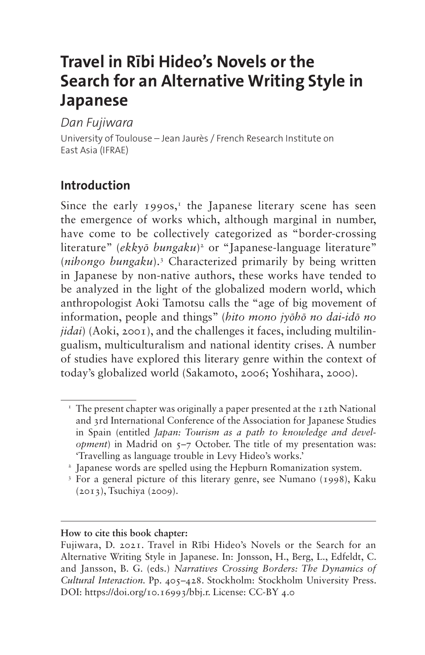# **Travel in Rībi Hideo's Novels or the Search for an Alternative Writing Style in Japanese**

### *Dan Fujiwara*

University of Toulouse – Jean Jaurès / French Research Institute on East Asia (IFRAE)

# **Introduction**

Since the early  $1990s$ ,<sup>1</sup> the Japanese literary scene has seen the emergence of works which, although marginal in number, have come to be collectively categorized as "border-crossing literature" (*ekkyō bungaku*[\)2](#page-0-1) or "Japanese-language literature" (*nihongo bungaku*).[3](#page-0-2) Characterized primarily by being written in Japanese by non-native authors, these works have tended to be analyzed in the light of the globalized modern world, which anthropologist Aoki Tamotsu calls the "age of big movement of information, people and things" (*hito mono jyōhō no dai-idō no jidai*) (Aoki, 2001), and the challenges it faces, including multilingualism, multiculturalism and national identity crises. A number of studies have explored this literary genre within the context of today's globalized world (Sakamoto, 2006; Yoshihara, 2000).

#### **How to cite this book chapter:**

<span id="page-0-0"></span> $\text{I}$  The present chapter was originally a paper presented at the 12th National and 3rd International Conference of the Association for Japanese Studies in Spain (entitled *Japan: Tourism as a path to knowledge and development*) in Madrid on  $5-7$  October. The title of my presentation was: 'Travelling as language trouble in Levy Hideo's works.'

<span id="page-0-1"></span><sup>2</sup> Japanese words are spelled using the Hepburn Romanization system.

<span id="page-0-2"></span><sup>3</sup> For a general picture of this literary genre, see Numano (1998), Kaku (2013), Tsuchiya (2009).

Fujiwara, D. 2021. Travel in Rībi Hideo's Novels or the Search for an Alternative Writing Style in Japanese. In: Jonsson, H., Berg, L., Edfeldt, C. and Jansson, B. G. (eds.) *Narratives Crossing Borders: The Dynamics of Cultural Interaction.* Pp. 405–428. Stockholm: Stockholm University Press. DOI:<https://doi.org/10.16993/bbj.r>. License: CC-BY 4.0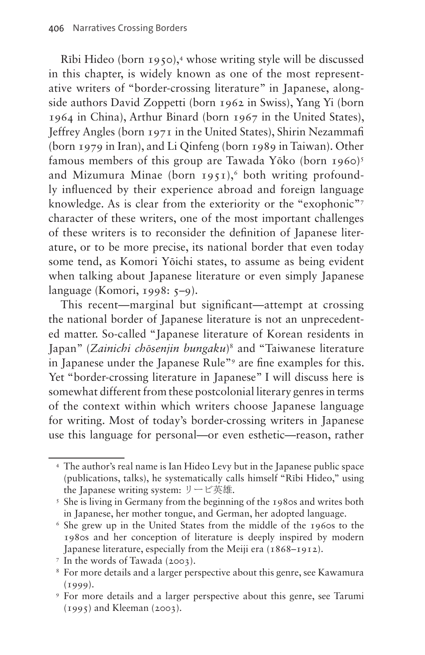Rībi Hideo (born 1950),[4](#page-1-0) whose writing style will be discussed in this chapter, is widely known as one of the most representative writers of "border-crossing literature" in Japanese, alongside authors David Zoppetti (born 1962 in Swiss), Yang Yi (born 1964 in China), Arthur Binard (born 1967 in the United States), Jeffrey Angles (born 1971 in the United States), Shirin Nezammafi (born 1979 in Iran), and Li Qinfeng (born 1989 in Taiwan). Other famous members of this group are Tawada Yōko (born 1960)<sup>[5](#page-1-1)</sup> and Mizumura Minae (born  $1951$ ),<sup>[6](#page-1-2)</sup> both writing profoundly influenced by their experience abroad and foreign language knowledge. As is clear from the exteriority or the "exophonic"[7](#page-1-3) character of these writers, one of the most important challenges of these writers is to reconsider the definition of Japanese literature, or to be more precise, its national border that even today some tend, as Komori Yōichi states, to assume as being evident when talking about Japanese literature or even simply Japanese language (Komori, 1998: 5–9).

This recent—marginal but significant—attempt at crossing the national border of Japanese literature is not an unprecedented matter. So-called "Japanese literature of Korean residents in Japan" (*Zainichi chōsenjin bungaku*)[8](#page-1-4) and "Taiwanese literature in Japanese under the Japanese Rule["9](#page-1-5) are fine examples for this. Yet "border-crossing literature in Japanese" I will discuss here is somewhat different from these postcolonial literary genres in terms of the context within which writers choose Japanese language for writing. Most of today's border-crossing writers in Japanese use this language for personal—or even esthetic—reason, rather

<span id="page-1-0"></span><sup>4</sup> The author's real name is Ian Hideo Levy but in the Japanese public space (publications, talks), he systematically calls himself "Rībi Hideo," using the Iapanese writing system:  $\mathcal{Y} - \mathcal{C} \neq \mathcal{M}$ .

<span id="page-1-1"></span><sup>&</sup>lt;sup>5</sup> She is living in Germany from the beginning of the 1980s and writes both in Japanese, her mother tongue, and German, her adopted language.

<span id="page-1-2"></span><sup>6</sup> She grew up in the United States from the middle of the 1960s to the 1980s and her conception of literature is deeply inspired by modern Japanese literature, especially from the Meiji era (1868–1912).

<span id="page-1-3"></span><sup>7</sup> In the words of Tawada (2003).

<span id="page-1-4"></span><sup>8</sup> For more details and a larger perspective about this genre, see Kawamura  $(1999)$ .

<span id="page-1-5"></span><sup>9</sup> For more details and a larger perspective about this genre, see Tarumi (1995) and Kleeman (2003).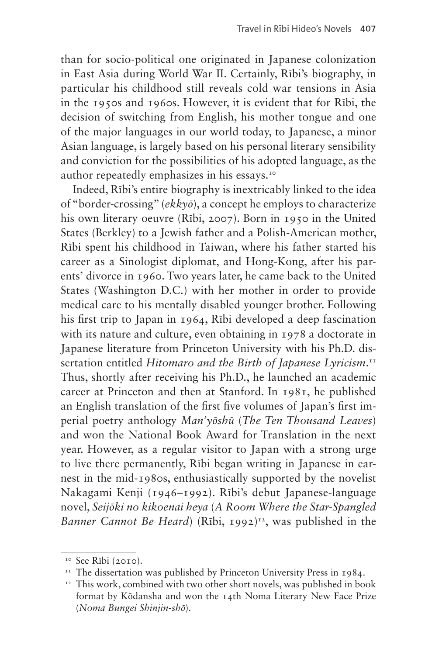than for socio-political one originated in Japanese colonization in East Asia during World War II. Certainly, Rībi's biography, in particular his childhood still reveals cold war tensions in Asia in the 1950s and 1960s. However, it is evident that for Rībi, the decision of switching from English, his mother tongue and one of the major languages in our world today, to Japanese, a minor Asian language, is largely based on his personal literary sensibility and conviction for the possibilities of his adopted language, as the author repeatedly emphasizes in his essays.[10](#page-2-0)

Indeed, Rībi's entire biography is inextricably linked to the idea of "border-crossing" (*ekkyō*), a concept he employs to characterize his own literary oeuvre (Rībi, 2007). Born in 1950 in the United States (Berkley) to a Jewish father and a Polish-American mother, Rībi spent his childhood in Taiwan, where his father started his career as a Sinologist diplomat, and Hong-Kong, after his parents' divorce in 1960. Two years later, he came back to the United States (Washington D.C.) with her mother in order to provide medical care to his mentally disabled younger brother. Following his first trip to Japan in 1964, Rībi developed a deep fascination with its nature and culture, even obtaining in 1978 a doctorate in Japanese literature from Princeton University with his Ph.D. dissertation entitled *Hitomaro and the Birth of Japanese Lyricism*. [11](#page-2-1) Thus, shortly after receiving his Ph.D., he launched an academic career at Princeton and then at Stanford. In 1981, he published an English translation of the first five volumes of Japan's first imperial poetry anthology *Man'yōshū* (*The Ten Thousand Leaves*) and won the National Book Award for Translation in the next year. However, as a regular visitor to Japan with a strong urge to live there permanently, Rībi began writing in Japanese in earnest in the mid-1980s, enthusiastically supported by the novelist Nakagami Kenji (1946–1992). Rībi's debut Japanese-language novel, *Seijōki no kikoenai heya* (*A Room Where the Star-Spangled Banner Cannot Be Heard*) (Rībi, 1992)<sup>12</sup>, was published in the

<span id="page-2-0"></span><sup>&</sup>lt;sup>10</sup> See Rībi (2010).

<span id="page-2-1"></span><sup>&</sup>lt;sup>11</sup> The dissertation was published by Princeton University Press in 1984.

<span id="page-2-2"></span><sup>&</sup>lt;sup>12</sup> This work, combined with two other short novels, was published in book format by Kōdansha and won the 14th Noma Literary New Face Prize (*Noma Bungei Shinjin-shō*).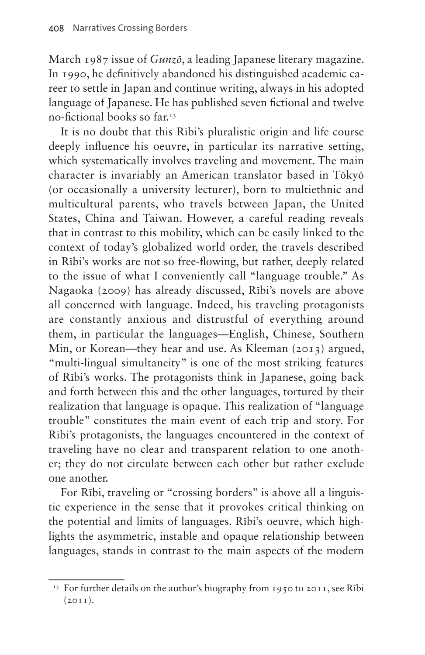March 1987 issue of *Gunzō*, a leading Japanese literary magazine. In 1990, he definitively abandoned his distinguished academic career to settle in Japan and continue writing, always in his adopted language of Japanese. He has published seven fictional and twelve no-fictional books so far.[13](#page-3-0)

It is no doubt that this Rībi's pluralistic origin and life course deeply influence his oeuvre, in particular its narrative setting, which systematically involves traveling and movement. The main character is invariably an American translator based in Tōkyō (or occasionally a university lecturer), born to multiethnic and multicultural parents, who travels between Japan, the United States, China and Taiwan. However, a careful reading reveals that in contrast to this mobility, which can be easily linked to the context of today's globalized world order, the travels described in Rībi's works are not so free-flowing, but rather, deeply related to the issue of what I conveniently call "language trouble." As Nagaoka (2009) has already discussed, Rībi's novels are above all concerned with language. Indeed, his traveling protagonists are constantly anxious and distrustful of everything around them, in particular the languages—English, Chinese, Southern Min, or Korean—they hear and use. As Kleeman (2013) argued, "multi-lingual simultaneity" is one of the most striking features of Rībi's works. The protagonists think in Japanese, going back and forth between this and the other languages, tortured by their realization that language is opaque. This realization of "language trouble" constitutes the main event of each trip and story. For Rībi's protagonists, the languages encountered in the context of traveling have no clear and transparent relation to one another; they do not circulate between each other but rather exclude one another.

For Rībi, traveling or "crossing borders" is above all a linguistic experience in the sense that it provokes critical thinking on the potential and limits of languages. Rībi's oeuvre, which highlights the asymmetric, instable and opaque relationship between languages, stands in contrast to the main aspects of the modern

<span id="page-3-0"></span><sup>&</sup>lt;sup>13</sup> For further details on the author's biography from 1950 to 2011, see Rībi  $(2011)$ .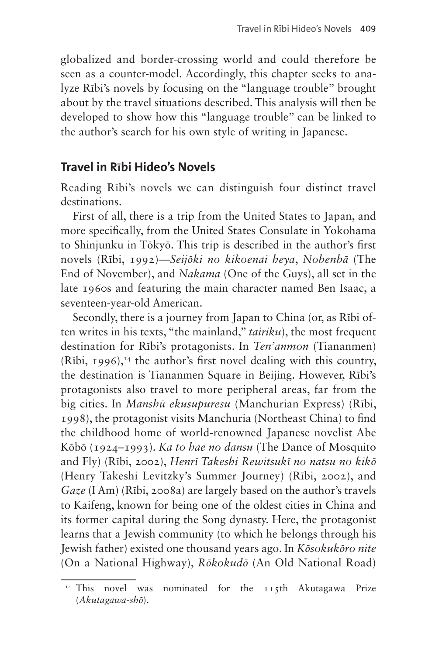globalized and border-crossing world and could therefore be seen as a counter-model. Accordingly, this chapter seeks to analyze Rībi's novels by focusing on the "language trouble" brought about by the travel situations described. This analysis will then be developed to show how this "language trouble" can be linked to the author's search for his own style of writing in Japanese.

### **Travel in Rībi Hideo's Novels**

Reading Rībi's novels we can distinguish four distinct travel destinations.

First of all, there is a trip from the United States to Japan, and more specifically, from the United States Consulate in Yokohama to Shinjunku in Tōkyō. This trip is described in the author's first novels (Rībi, 1992)—*Seijōki no kikoenai heya*, *Nobenbā* (The End of November), and *Nakama* (One of the Guys), all set in the late 1960s and featuring the main character named Ben Isaac, a seventeen-year-old American.

Secondly, there is a journey from Japan to China (or, as Rībi often writes in his texts, "the mainland," *tairiku*), the most frequent destination for Rībi's protagonists. In *Ten'anmon* (Tiananmen)  $(Rībi, 1996)$ ,<sup>14</sup> the author's first novel dealing with this country, the destination is Tiananmen Square in Beijing. However, Rībi's protagonists also travel to more peripheral areas, far from the big cities. In *Manshū ekusupuresu* (Manchurian Express) (Rībi, 1998), the protagonist visits Manchuria (Northeast China) to find the childhood home of world-renowned Japanese novelist Abe Kōbō (1924–1993). *Ka to hae no dansu* (The Dance of Mosquito and Fly) (Rībi, 2002), *Henrī Takeshi Rewitsukī no natsu no kikō* (Henry Takeshi Levitzky's Summer Journey) (Rībi, 2002), and *Gaze* (I Am) (Rībi, 2008a) are largely based on the author's travels to Kaifeng, known for being one of the oldest cities in China and its former capital during the Song dynasty. Here, the protagonist learns that a Jewish community (to which he belongs through his Jewish father) existed one thousand years ago. In *Kōsokukōro nite* (On a National Highway), *Rōkokudō* (An Old National Road)

<span id="page-4-0"></span><sup>&</sup>lt;sup>14</sup> This novel was nominated for the 115th Akutagawa Prize (*Akutagawa-shō*).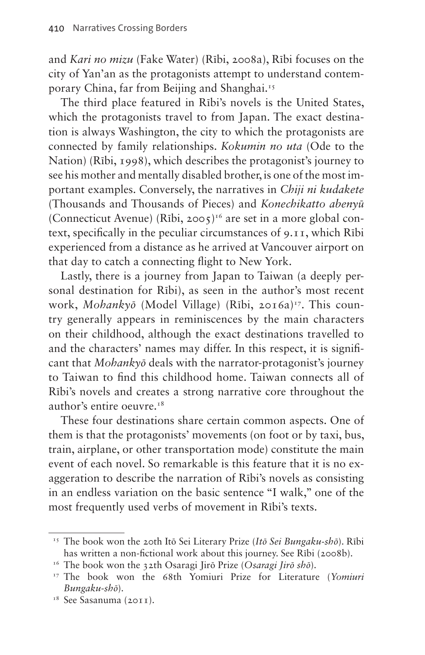and *Kari no mizu* (Fake Water) (Rībi, 2008a), Rībi focuses on the city of Yan'an as the protagonists attempt to understand contemporary China, far from Beijing and Shanghai[.15](#page-5-0)

The third place featured in Rībi's novels is the United States, which the protagonists travel to from Japan. The exact destination is always Washington, the city to which the protagonists are connected by family relationships. *Kokumin no uta* (Ode to the Nation) (Rībi, 1998), which describes the protagonist's journey to see his mother and mentally disabled brother, is one of the most important examples. Conversely, the narratives in *Chiji ni kudakete* (Thousands and Thousands of Pieces) and *Konechikatto abenyū* (Connecticut Avenue) (Rībi, 2005)<sup>16</sup> are set in a more global context, specifically in the peculiar circumstances of 9.11, which Rībi experienced from a distance as he arrived at Vancouver airport on that day to catch a connecting flight to New York.

Lastly, there is a journey from Japan to Taiwan (a deeply personal destination for Rībi), as seen in the author's most recent work, *Mohankyō* (Model Village) (Rībi, 2016a)<sup>17</sup>. This country generally appears in reminiscences by the main characters on their childhood, although the exact destinations travelled to and the characters' names may differ. In this respect, it is significant that *Mohankyō* deals with the narrator-protagonist's journey to Taiwan to find this childhood home. Taiwan connects all of Rībi's novels and creates a strong narrative core throughout the author's entire oeuvre.[18](#page-5-3)

These four destinations share certain common aspects. One of them is that the protagonists' movements (on foot or by taxi, bus, train, airplane, or other transportation mode) constitute the main event of each novel. So remarkable is this feature that it is no exaggeration to describe the narration of Rībi's novels as consisting in an endless variation on the basic sentence "I walk," one of the most frequently used verbs of movement in Rībi's texts.

<span id="page-5-0"></span><sup>15</sup> The book won the 20th Itō Sei Literary Prize (*Itō Sei Bungaku-shō*). Rībi has written a non-fictional work about this journey. See Rībi (2008b).

<span id="page-5-1"></span><sup>16</sup> The book won the 32th Osaragi Jirō Prize (*Osaragi Jirō shō*).

<span id="page-5-2"></span><sup>17</sup> The book won the 68th Yomiuri Prize for Literature (*Yomiuri Bungaku-shō*).

<span id="page-5-3"></span><sup>&</sup>lt;sup>18</sup> See Sasanuma (2011).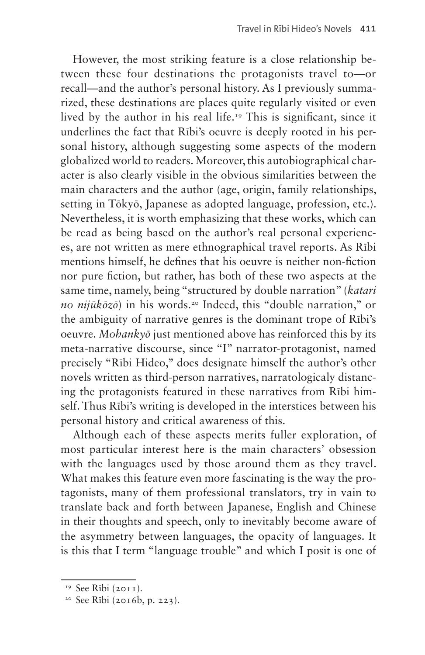However, the most striking feature is a close relationship between these four destinations the protagonists travel to—or recall—and the author's personal history. As I previously summarized, these destinations are places quite regularly visited or even lived by the author in his real life[.19](#page-6-0) This is significant, since it underlines the fact that Rībi's oeuvre is deeply rooted in his personal history, although suggesting some aspects of the modern globalized world to readers. Moreover, this autobiographical character is also clearly visible in the obvious similarities between the main characters and the author (age, origin, family relationships, setting in Tōkyō, Japanese as adopted language, profession, etc.). Nevertheless, it is worth emphasizing that these works, which can be read as being based on the author's real personal experiences, are not written as mere ethnographical travel reports. As Rībi mentions himself, he defines that his oeuvre is neither non-fiction nor pure fiction, but rather, has both of these two aspects at the same time, namely, being "structured by double narration" (*katari no nijūkōzō*) in his words.[20](#page-6-1) Indeed, this "double narration," or the ambiguity of narrative genres is the dominant trope of Rībi's oeuvre. *Mohankyō* just mentioned above has reinforced this by its meta-narrative discourse, since "I" narrator-protagonist, named precisely "Rībi Hideo," does designate himself the author's other novels written as third-person narratives, narratologicaly distancing the protagonists featured in these narratives from Rībi himself. Thus Rībi's writing is developed in the interstices between his personal history and critical awareness of this.

Although each of these aspects merits fuller exploration, of most particular interest here is the main characters' obsession with the languages used by those around them as they travel. What makes this feature even more fascinating is the way the protagonists, many of them professional translators, try in vain to translate back and forth between Japanese, English and Chinese in their thoughts and speech, only to inevitably become aware of the asymmetry between languages, the opacity of languages. It is this that I term "language trouble" and which I posit is one of

<span id="page-6-0"></span><sup>&</sup>lt;sup>19</sup> See Rībi (2011).

<span id="page-6-1"></span><sup>20</sup> See Rībi (2016b, p. 223).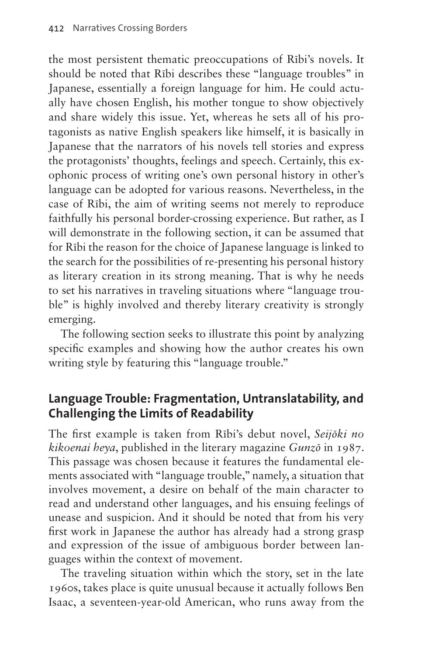the most persistent thematic preoccupations of Rībi's novels. It should be noted that Rībi describes these "language troubles" in Japanese, essentially a foreign language for him. He could actually have chosen English, his mother tongue to show objectively and share widely this issue. Yet, whereas he sets all of his protagonists as native English speakers like himself, it is basically in Japanese that the narrators of his novels tell stories and express the protagonists' thoughts, feelings and speech. Certainly, this exophonic process of writing one's own personal history in other's language can be adopted for various reasons. Nevertheless, in the case of Rībi, the aim of writing seems not merely to reproduce faithfully his personal border-crossing experience. But rather, as I will demonstrate in the following section, it can be assumed that for Rībi the reason for the choice of Japanese language is linked to the search for the possibilities of re-presenting his personal history as literary creation in its strong meaning. That is why he needs to set his narratives in traveling situations where "language trouble" is highly involved and thereby literary creativity is strongly emerging.

The following section seeks to illustrate this point by analyzing specific examples and showing how the author creates his own writing style by featuring this "language trouble."

# **Language Trouble: Fragmentation, Untranslatability, and Challenging the Limits of Readability**

The first example is taken from Rībi's debut novel, *Seijōki no kikoenai heya*, published in the literary magazine *Gunzō* in 1987. This passage was chosen because it features the fundamental elements associated with "language trouble," namely, a situation that involves movement, a desire on behalf of the main character to read and understand other languages, and his ensuing feelings of unease and suspicion. And it should be noted that from his very first work in Japanese the author has already had a strong grasp and expression of the issue of ambiguous border between languages within the context of movement.

The traveling situation within which the story, set in the late 1960s, takes place is quite unusual because it actually follows Ben Isaac, a seventeen-year-old American, who runs away from the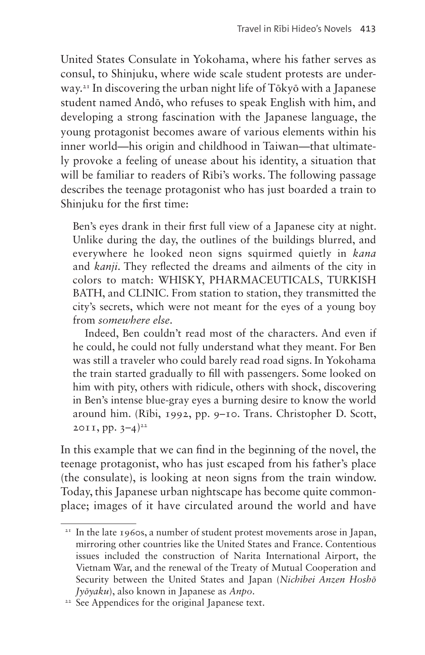United States Consulate in Yokohama, where his father serves as consul, to Shinjuku, where wide scale student protests are underway.21 In discovering the urban night life of Tōkyō with a Japanese student named Andō, who refuses to speak English with him, and developing a strong fascination with the Japanese language, the young protagonist becomes aware of various elements within his inner world—his origin and childhood in Taiwan—that ultimately provoke a feeling of unease about his identity, a situation that will be familiar to readers of Rībi's works. The following passage describes the teenage protagonist who has just boarded a train to Shinjuku for the first time:

Ben's eyes drank in their first full view of a Japanese city at night. Unlike during the day, the outlines of the buildings blurred, and everywhere he looked neon signs squirmed quietly in *kana* and *kanji*. They reflected the dreams and ailments of the city in colors to match: WHISKY, PHARMACEUTICALS, TURKISH BATH, and CLINIC. From station to station, they transmitted the city's secrets, which were not meant for the eyes of a young boy from *somewhere else*.

Indeed, Ben couldn't read most of the characters. And even if he could, he could not fully understand what they meant. For Ben was still a traveler who could barely read road signs. In Yokohama the train started gradually to fill with passengers. Some looked on him with pity, others with ridicule, others with shock, discovering in Ben's intense blue-gray eyes a burning desire to know the world around him. (Rībi, 1992, pp. 9–10. Trans. Christopher D. Scott, 2011, pp.  $3-4$ <sup>22</sup>

In this example that we can find in the beginning of the novel, the teenage protagonist, who has just escaped from his father's place (the consulate), is looking at neon signs from the train window. Today, this Japanese urban nightscape has become quite commonplace; images of it have circulated around the world and have

 $21$  In the late 1960s, a number of student protest movements arose in Japan, mirroring other countries like the United States and France. Contentious issues included the construction of Narita International Airport, the Vietnam War, and the renewal of the Treaty of Mutual Cooperation and Security between the United States and Japan (*Nichibei Anzen Hoshō Jyōyaku*), also known in Japanese as *Anpo*.

<sup>&</sup>lt;sup>22</sup> See Appendices for the original Japanese text.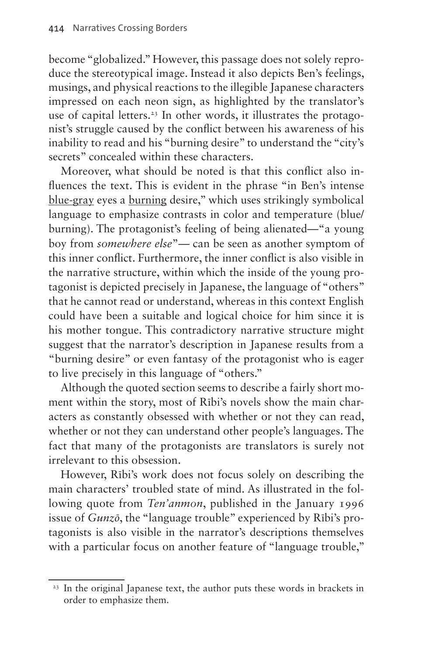become "globalized." However, this passage does not solely reproduce the stereotypical image. Instead it also depicts Ben's feelings, musings, and physical reactions to the illegible Japanese characters impressed on each neon sign, as highlighted by the translator's use of capital letters.<sup>23</sup> In other words, it illustrates the protagonist's struggle caused by the conflict between his awareness of his inability to read and his "burning desire" to understand the "city's secrets" concealed within these characters.

Moreover, what should be noted is that this conflict also influences the text. This is evident in the phrase "in Ben's intense blue-gray eyes a burning desire," which uses strikingly symbolical language to emphasize contrasts in color and temperature (blue/ burning). The protagonist's feeling of being alienated—"a young boy from *somewhere else*"— can be seen as another symptom of this inner conflict. Furthermore, the inner conflict is also visible in the narrative structure, within which the inside of the young protagonist is depicted precisely in Japanese, the language of "others" that he cannot read or understand, whereas in this context English could have been a suitable and logical choice for him since it is his mother tongue. This contradictory narrative structure might suggest that the narrator's description in Japanese results from a "burning desire" or even fantasy of the protagonist who is eager to live precisely in this language of "others."

Although the quoted section seems to describe a fairly short moment within the story, most of Rībi's novels show the main characters as constantly obsessed with whether or not they can read, whether or not they can understand other people's languages. The fact that many of the protagonists are translators is surely not irrelevant to this obsession.

However, Rībi's work does not focus solely on describing the main characters' troubled state of mind. As illustrated in the following quote from *Ten'anmon*, published in the January 1996 issue of *Gunzō*, the "language trouble" experienced by Rībi's protagonists is also visible in the narrator's descriptions themselves with a particular focus on another feature of "language trouble,"

<sup>&</sup>lt;sup>23</sup> In the original Japanese text, the author puts these words in brackets in order to emphasize them.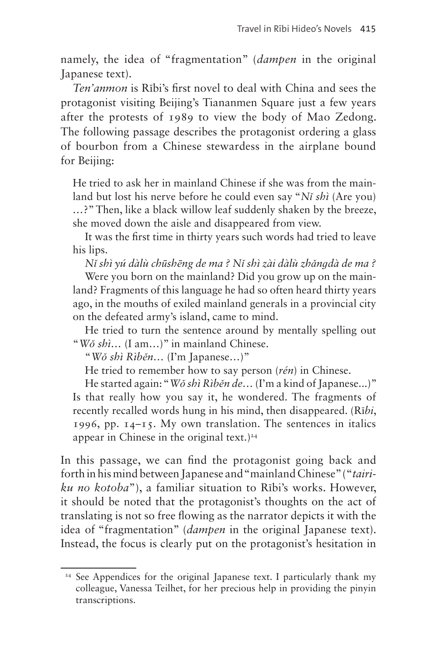namely, the idea of "fragmentation" (*dampen* in the original Japanese text).

*Ten'anmon* is Rībi's first novel to deal with China and sees the protagonist visiting Beijing's Tiananmen Square just a few years after the protests of 1989 to view the body of Mao Zedong. The following passage describes the protagonist ordering a glass of bourbon from a Chinese stewardess in the airplane bound for Beijing:

He tried to ask her in mainland Chinese if she was from the mainland but lost his nerve before he could even say "*Nǐ shì* (Are you) *…*?" Then, like a black willow leaf suddenly shaken by the breeze, she moved down the aisle and disappeared from view.

It was the first time in thirty years such words had tried to leave his lips.

*Nǐ shì yú dàlù chūshēng de ma ? Nǐ shì zài dàlù zhǎnɡdà de ma ?*

Were you born on the mainland? Did you grow up on the mainland? Fragments of this language he had so often heard thirty years ago, in the mouths of exiled mainland generals in a provincial city on the defeated army's island, came to mind.

He tried to turn the sentence around by mentally spelling out "*Wǒ shì…* (I am…)" in mainland Chinese.

"*Wǒ shì Rìběn…* (I'm Japanese…)"

He tried to remember how to say person (*rén*) in Chinese.

He started again: "*Wǒ shì Rìběn de…* (I'm a kind of Japanese...)" Is that really how you say it, he wondered. The fragments of recently recalled words hung in his mind, then disappeared. (Rī*bi*, 1996, pp. 14–15. My own translation. The sentences in italics appear in Chinese in the original text.)<sup>24</sup>

In this passage, we can find the protagonist going back and forth in his mind between Japanese and "mainland Chinese" ("*tairiku no kotoba*"), a familiar situation to Rībi's works. However, it should be noted that the protagonist's thoughts on the act of translating is not so free flowing as the narrator depicts it with the idea of "fragmentation" (*dampen* in the original Japanese text). Instead, the focus is clearly put on the protagonist's hesitation in

<sup>&</sup>lt;sup>24</sup> See Appendices for the original Japanese text. I particularly thank my colleague, Vanessa Teilhet, for her precious help in providing the pinyin transcriptions.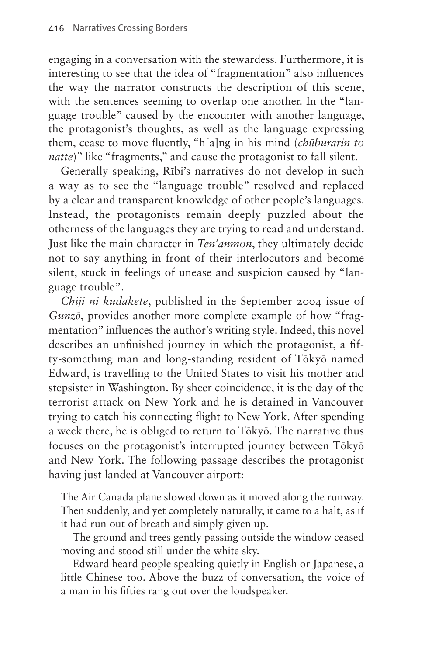engaging in a conversation with the stewardess. Furthermore, it is interesting to see that the idea of "fragmentation" also influences the way the narrator constructs the description of this scene, with the sentences seeming to overlap one another. In the "language trouble" caused by the encounter with another language, the protagonist's thoughts, as well as the language expressing them, cease to move fluently, "h[a]ng in his mind (*chūburarin to natte*)" like "fragments," and cause the protagonist to fall silent.

Generally speaking, Rībi's narratives do not develop in such a way as to see the "language trouble" resolved and replaced by a clear and transparent knowledge of other people's languages. Instead, the protagonists remain deeply puzzled about the otherness of the languages they are trying to read and understand. Just like the main character in *Ten'anmon*, they ultimately decide not to say anything in front of their interlocutors and become silent, stuck in feelings of unease and suspicion caused by "language trouble".

*Chiji ni kudakete*, published in the September 2004 issue of *Gunzō*, provides another more complete example of how "fragmentation" influences the author's writing style. Indeed, this novel describes an unfinished journey in which the protagonist, a fifty-something man and long-standing resident of Tōkyō named Edward, is travelling to the United States to visit his mother and stepsister in Washington. By sheer coincidence, it is the day of the terrorist attack on New York and he is detained in Vancouver trying to catch his connecting flight to New York. After spending a week there, he is obliged to return to Tōkyō. The narrative thus focuses on the protagonist's interrupted journey between Tōkyō and New York. The following passage describes the protagonist having just landed at Vancouver airport:

The Air Canada plane slowed down as it moved along the runway. Then suddenly, and yet completely naturally, it came to a halt, as if it had run out of breath and simply given up.

The ground and trees gently passing outside the window ceased moving and stood still under the white sky.

Edward heard people speaking quietly in English or Japanese, a little Chinese too. Above the buzz of conversation, the voice of a man in his fifties rang out over the loudspeaker.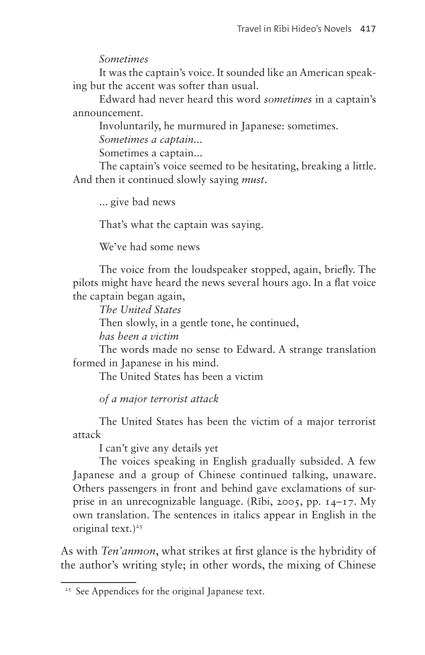#### *Sometimes*

It was the captain's voice. It sounded like an American speaking but the accent was softer than usual.

Edward had never heard this word *sometimes* in a captain's announcement.

Involuntarily, he murmured in Japanese: sometimes.

*Sometimes a captain...*

Sometimes a captain...

The captain's voice seemed to be hesitating, breaking a little. And then it continued slowly saying *must*.

... give bad news

That's what the captain was saying.

We've had some news

The voice from the loudspeaker stopped, again, briefly. The pilots might have heard the news several hours ago. In a flat voice the captain began again,

*The United States*

Then slowly, in a gentle tone, he continued,

*has been a victim*

The words made no sense to Edward. A strange translation formed in Japanese in his mind.

The United States has been a victim

*of a major terrorist attack*

The United States has been the victim of a major terrorist attack

I can't give any details yet

The voices speaking in English gradually subsided. A few Japanese and a group of Chinese continued talking, unaware. Others passengers in front and behind gave exclamations of surprise in an unrecognizable language. (Rībi, 2005, pp. 14–17. My own translation. The sentences in italics appear in English in the original text.)<sup>25</sup>

As with *Ten'anmon*, what strikes at first glance is the hybridity of the author's writing style; in other words, the mixing of Chinese

<sup>&</sup>lt;sup>25</sup> See Appendices for the original Japanese text.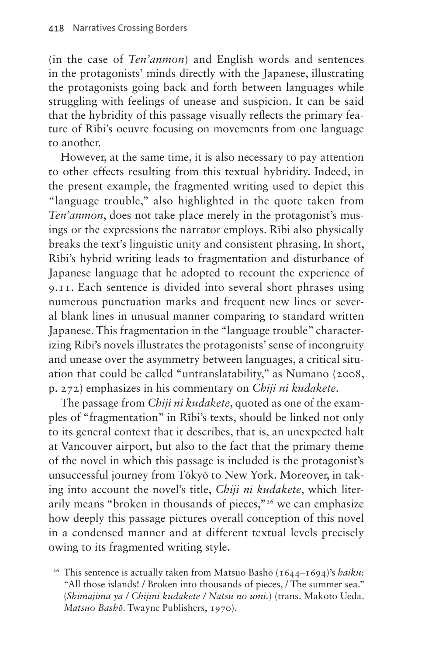(in the case of *Ten'anmon*) and English words and sentences in the protagonists' minds directly with the Japanese, illustrating the protagonists going back and forth between languages while struggling with feelings of unease and suspicion. It can be said that the hybridity of this passage visually reflects the primary feature of Rībi's oeuvre focusing on movements from one language to another.

However, at the same time, it is also necessary to pay attention to other effects resulting from this textual hybridity. Indeed, in the present example, the fragmented writing used to depict this "language trouble," also highlighted in the quote taken from *Ten'anmon*, does not take place merely in the protagonist's musings or the expressions the narrator employs. Rībi also physically breaks the text's linguistic unity and consistent phrasing. In short, Rībi's hybrid writing leads to fragmentation and disturbance of Japanese language that he adopted to recount the experience of 9.11. Each sentence is divided into several short phrases using numerous punctuation marks and frequent new lines or several blank lines in unusual manner comparing to standard written Japanese. This fragmentation in the "language trouble" characterizing Rībi's novels illustrates the protagonists' sense of incongruity and unease over the asymmetry between languages, a critical situation that could be called "untranslatability," as Numano (2008, p. 272) emphasizes in his commentary on *Chiji ni kudakete*.

The passage from *Chiji ni kudakete*, quoted as one of the examples of "fragmentation" in Rībi's texts, should be linked not only to its general context that it describes, that is, an unexpected halt at Vancouver airport, but also to the fact that the primary theme of the novel in which this passage is included is the protagonist's unsuccessful journey from Tōkyō to New York. Moreover, in taking into account the novel's title, *Chiji ni kudakete*, which literarily means "broken in thousands of pieces,"26 we can emphasize how deeply this passage pictures overall conception of this novel in a condensed manner and at different textual levels precisely owing to its fragmented writing style.

<sup>&</sup>lt;sup>26</sup> This sentence is actually taken from Matsuo Bashō (1644-1694)'s *haiku*: "All those islands! / Broken into thousands of pieces, / The summer sea." (*Shimajima ya / Chijini kudakete / Natsu no umi.*) (trans. Makoto Ueda. *Matsuo Bashō*. Twayne Publishers, 1970).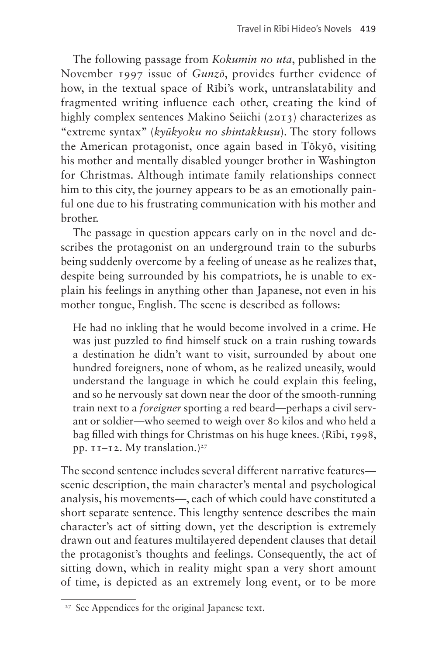The following passage from *Kokumin no uta*, published in the November 1997 issue of *Gunzō*, provides further evidence of how, in the textual space of Rībi's work, untranslatability and fragmented writing influence each other, creating the kind of highly complex sentences Makino Seiichi (2013) characterizes as "extreme syntax" (*kyūkyoku no shintakkusu*). The story follows the American protagonist, once again based in Tōkyō, visiting his mother and mentally disabled younger brother in Washington for Christmas. Although intimate family relationships connect him to this city, the journey appears to be as an emotionally painful one due to his frustrating communication with his mother and brother.

The passage in question appears early on in the novel and describes the protagonist on an underground train to the suburbs being suddenly overcome by a feeling of unease as he realizes that, despite being surrounded by his compatriots, he is unable to explain his feelings in anything other than Japanese, not even in his mother tongue, English. The scene is described as follows:

He had no inkling that he would become involved in a crime. He was just puzzled to find himself stuck on a train rushing towards a destination he didn't want to visit, surrounded by about one hundred foreigners, none of whom, as he realized uneasily, would understand the language in which he could explain this feeling, and so he nervously sat down near the door of the smooth-running train next to a *foreigner* sporting a red beard—perhaps a civil servant or soldier—who seemed to weigh over 80 kilos and who held a bag filled with things for Christmas on his huge knees. (Rībi, 1998, pp.  $11-12$ . My translation.)<sup>27</sup>

The second sentence includes several different narrative features scenic description, the main character's mental and psychological analysis, his movements—, each of which could have constituted a short separate sentence. This lengthy sentence describes the main character's act of sitting down, yet the description is extremely drawn out and features multilayered dependent clauses that detail the protagonist's thoughts and feelings. Consequently, the act of sitting down, which in reality might span a very short amount of time, is depicted as an extremely long event, or to be more

<sup>&</sup>lt;sup>27</sup> See Appendices for the original Japanese text.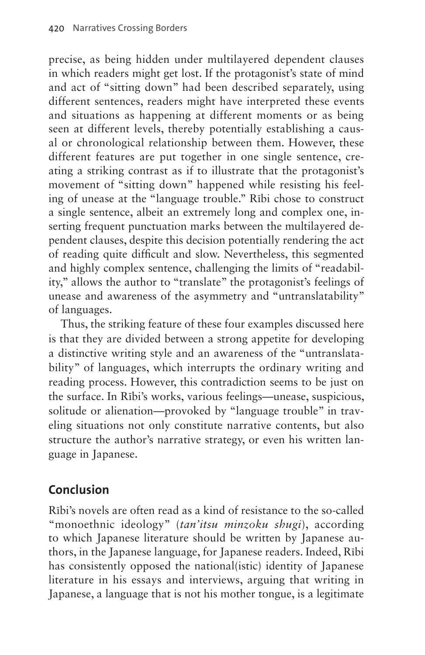precise, as being hidden under multilayered dependent clauses in which readers might get lost. If the protagonist's state of mind and act of "sitting down" had been described separately, using different sentences, readers might have interpreted these events and situations as happening at different moments or as being seen at different levels, thereby potentially establishing a causal or chronological relationship between them. However, these different features are put together in one single sentence, creating a striking contrast as if to illustrate that the protagonist's movement of "sitting down" happened while resisting his feeling of unease at the "language trouble." Rībi chose to construct a single sentence, albeit an extremely long and complex one, inserting frequent punctuation marks between the multilayered dependent clauses, despite this decision potentially rendering the act of reading quite difficult and slow. Nevertheless, this segmented and highly complex sentence, challenging the limits of "readability," allows the author to "translate" the protagonist's feelings of unease and awareness of the asymmetry and "untranslatability" of languages.

Thus, the striking feature of these four examples discussed here is that they are divided between a strong appetite for developing a distinctive writing style and an awareness of the "untranslatability" of languages, which interrupts the ordinary writing and reading process. However, this contradiction seems to be just on the surface. In Rībi's works, various feelings—unease, suspicious, solitude or alienation—provoked by "language trouble" in traveling situations not only constitute narrative contents, but also structure the author's narrative strategy, or even his written language in Japanese.

# **Conclusion**

Rībi's novels are often read as a kind of resistance to the so-called "monoethnic ideology" (*tan'itsu minzoku shugi*), according to which Japanese literature should be written by Japanese authors, in the Japanese language, for Japanese readers. Indeed, Rībi has consistently opposed the national(istic) identity of Japanese literature in his essays and interviews, arguing that writing in Japanese, a language that is not his mother tongue, is a legitimate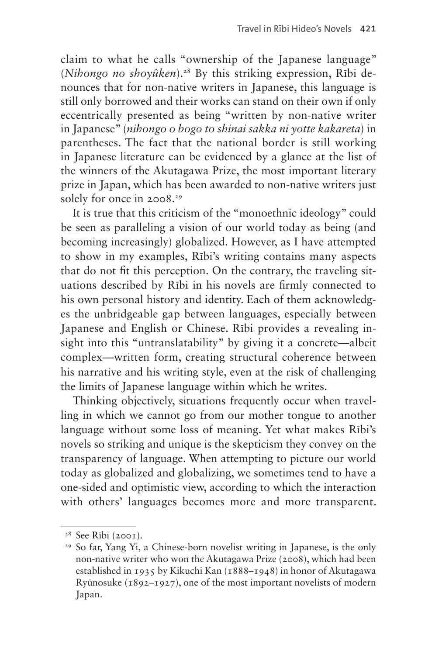claim to what he calls "ownership of the Japanese language" (*Nihongo no shoyûken*).28 By this striking expression, Rībi denounces that for non-native writers in Japanese, this language is still only borrowed and their works can stand on their own if only eccentrically presented as being "written by non-native writer in Japanese" (*nihongo o bogo to shinai sakka ni yotte kakareta*) in parentheses. The fact that the national border is still working in Japanese literature can be evidenced by a glance at the list of the winners of the Akutagawa Prize, the most important literary prize in Japan, which has been awarded to non-native writers just solely for once in 2008.<sup>29</sup>

It is true that this criticism of the "monoethnic ideology" could be seen as paralleling a vision of our world today as being (and becoming increasingly) globalized. However, as I have attempted to show in my examples, Rībi's writing contains many aspects that do not fit this perception. On the contrary, the traveling situations described by Rībi in his novels are firmly connected to his own personal history and identity. Each of them acknowledges the unbridgeable gap between languages, especially between Japanese and English or Chinese. Rībi provides a revealing insight into this "untranslatability" by giving it a concrete—albeit complex—written form, creating structural coherence between his narrative and his writing style, even at the risk of challenging the limits of Japanese language within which he writes.

Thinking objectively, situations frequently occur when travelling in which we cannot go from our mother tongue to another language without some loss of meaning. Yet what makes Rībi's novels so striking and unique is the skepticism they convey on the transparency of language. When attempting to picture our world today as globalized and globalizing, we sometimes tend to have a one-sided and optimistic view, according to which the interaction with others' languages becomes more and more transparent.

 $28$  See Rībi (2001).

<sup>&</sup>lt;sup>29</sup> So far, Yang Yi, a Chinese-born novelist writing in Japanese, is the only non-native writer who won the Akutagawa Prize (2008), which had been established in 1935 by Kikuchi Kan (1888–1948) in honor of Akutagawa Ryūnosuke (1892–1927), one of the most important novelists of modern Japan.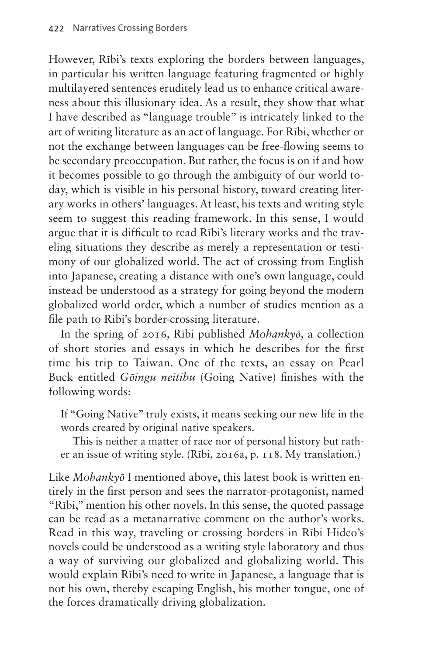However, Rībi's texts exploring the borders between languages, in particular his written language featuring fragmented or highly multilayered sentences eruditely lead us to enhance critical awareness about this illusionary idea. As a result, they show that what I have described as "language trouble" is intricately linked to the art of writing literature as an act of language. For Rībi, whether or not the exchange between languages can be free-flowing seems to be secondary preoccupation. But rather, the focus is on if and how it becomes possible to go through the ambiguity of our world today, which is visible in his personal history, toward creating literary works in others' languages. At least, his texts and writing style seem to suggest this reading framework. In this sense, I would argue that it is difficult to read Rībi's literary works and the traveling situations they describe as merely a representation or testimony of our globalized world. The act of crossing from English into Japanese, creating a distance with one's own language, could instead be understood as a strategy for going beyond the modern globalized world order, which a number of studies mention as a file path to Ribi's border-crossing literature.

In the spring of 2016, Rībi published *Mohankyō*, a collection of short stories and essays in which he describes for the first time his trip to Taiwan. One of the texts, an essay on Pearl Buck entitled *Gōingu neitibu* (Going Native) finishes with the following words:

If "Going Native" truly exists, it means seeking our new life in the words created by original native speakers.

This is neither a matter of race nor of personal history but rather an issue of writing style. (Rībi, 2016a, p. 118. My translation.)

Like *Mohankyō* I mentioned above, this latest book is written entirely in the first person and sees the narrator-protagonist, named "Rībi," mention his other novels. In this sense, the quoted passage can be read as a metanarrative comment on the author's works. Read in this way, traveling or crossing borders in Rībi Hideo's novels could be understood as a writing style laboratory and thus a way of surviving our globalized and globalizing world. This would explain Rībi's need to write in Japanese, a language that is not his own, thereby escaping English, his mother tongue, one of the forces dramatically driving globalization.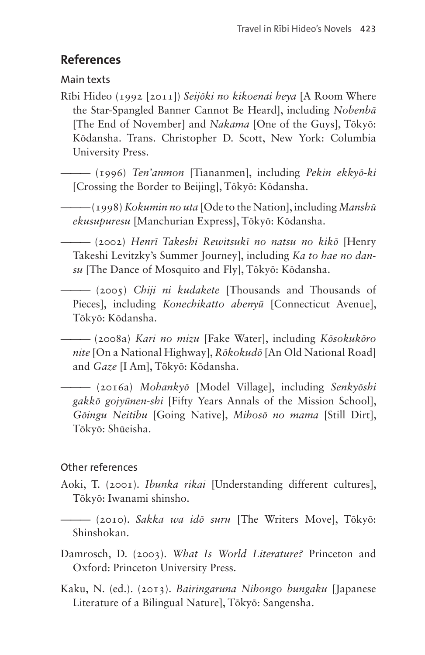### **References**

Main texts

Rībi Hideo (1992 [2011]) *Seijōki no kikoenai heya* [A Room Where the Star-Spangled Banner Cannot Be Heard], including *Nobenbā* [The End of November] and *Nakama* [One of the Guys], Tōkyō: Kōdansha. Trans. Christopher D. Scott, New York: Columbia University Press.

——— (1996) *Ten'anmon* [Tiananmen], including *Pekin ekkyō-ki* [Crossing the Border to Beijing], Tōkyō: Kōdansha.

——— (1998) *Kokumin no uta* [Ode to the Nation], including *Manshū ekusupuresu* [Manchurian Express], Tōkyō: Kōdansha.

——— (2002) *Henrī Takeshi Rewitsukī no natsu no kikō* [Henry Takeshi Levitzky's Summer Journey], including *Ka to hae no dansu* [The Dance of Mosquito and Fly], Tōkyō: Kōdansha.

——— (2005) *Chiji ni kudakete* [Thousands and Thousands of Pieces], including *Konechikatto abenyū* [Connecticut Avenue], Tōkyō: Kōdansha.

——— (2008a) *Kari no mizu* [Fake Water], including *Kōsokukōro nite* [On a National Highway], *Rōkokudō* [An Old National Road] and *Gaze* [I Am], Tōkyō: Kōdansha.

——— (2016a) *Mohankyō* [Model Village], including *Senkyōshi gakkō gojyūnen-shi* [Fifty Years Annals of the Mission School], *Gōingu Neitibu* [Going Native], *Mihosō no mama* [Still Dirt], Tōkyō: Shūeisha.

### Other references

- Aoki, T. (2001). *Ibunka rikai* [Understanding different cultures], Tōkyō: Iwanami shinsho.
- ——— (2010). *Sakka wa idō suru* [The Writers Move], Tōkyō: Shinshokan.
- Damrosch, D. (2003). *What Is World Literature?* Princeton and Oxford: Princeton University Press.
- Kaku, N. (ed.). (2013). *Bairingaruna Nihongo bungaku* [Japanese Literature of a Bilingual Nature], Tōkyō: Sangensha.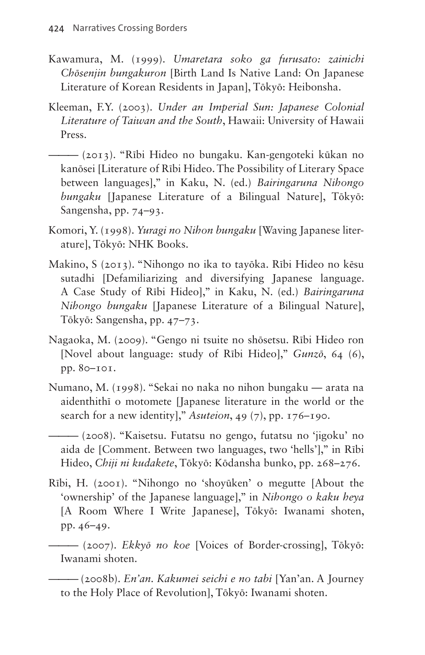- Kawamura, M. (1999). *Umaretara soko ga furusato: zainichi Chōsenjin bungakuron* [Birth Land Is Native Land: On Japanese Literature of Korean Residents in Japan], Tōkyō: Heibonsha.
- Kleeman, F.Y. (2003). *Under an Imperial Sun: Japanese Colonial Literature of Taiwan and the South*, Hawaii: University of Hawaii Press.
- ——— (2013). "Rībi Hideo no bungaku. Kan-gengoteki kūkan no kanōsei [Literature of Rībi Hideo. The Possibility of Literary Space between languages]," in Kaku, N. (ed.) *Bairingaruna Nihongo bungaku* [Japanese Literature of a Bilingual Nature], Tōkyō: Sangensha, pp. 74–93.
- Komori, Y. (1998). *Yuragi no Nihon bungaku* [Waving Japanese literature], Tōkyō: NHK Books.
- Makino, S (2013). "Nihongo no ika to tayōka. Rībi Hideo no kēsu sutadhi [Defamiliarizing and diversifying Japanese language. A Case Study of Rībi Hideo]," in Kaku, N. (ed.) *Bairingaruna Nihongo bungaku* [Japanese Literature of a Bilingual Nature], Tōkyō: Sangensha, pp. 47–73.
- Nagaoka, M. (2009). "Gengo ni tsuite no shōsetsu. Rībi Hideo ron [Novel about language: study of Rībi Hideo]," *Gunzō*, 64 (6), pp. 80–101.
- Numano, M. (1998). "Sekai no naka no nihon bungaku arata na aidenthithī o motomete [Japanese literature in the world or the search for a new identity]," *Asuteion*, 49 (7), pp. 176–190.
- ——— (2008). "Kaisetsu. Futatsu no gengo, futatsu no 'jigoku' no aida de [Comment. Between two languages, two 'hells']," in Rībi Hideo, *Chiji ni kudakete*, Tōkyō: Kōdansha bunko, pp. 268–276.
- Rībi, H. (2001). "Nihongo no 'shoyūken' o megutte [About the 'ownership' of the Japanese language]," in *Nihongo o kaku heya* [A Room Where I Write Japanese], Tōkyō: Iwanami shoten, pp. 46–49.

——— (2007). *Ekkyō no koe* [Voices of Border-crossing], Tōkyō: Iwanami shoten.

——— (2008b). *En'an. Kakumei seichi e no tabi* [Yan'an. A Journey to the Holy Place of Revolution], Tōkyō: Iwanami shoten.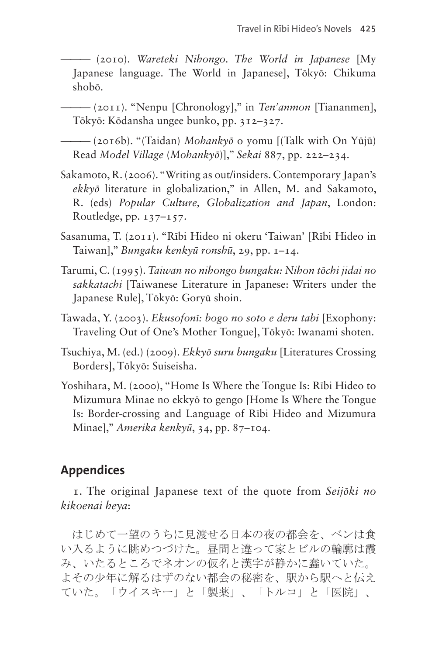——— (2010). *Wareteki Nihongo. The World in Japanese* [My Japanese language. The World in Japanese], Tōkyō: Chikuma shobō.

——— (2011). "Nenpu [Chronology]," in *Ten'anmon* [Tiananmen], Tōkyō: Kōdansha ungee bunko, pp. 312–327.

——— (2016b). "(Taidan) *Mohankyō* o yomu [(Talk with On Yūjū) Read *Model Village* (*Mohankyō*)]," *Sekai* 887, pp. 222–234.

- Sakamoto, R. (2006). "Writing as out/insiders. Contemporary Japan's *ekkyō* literature in globalization," in Allen, M. and Sakamoto, R. (eds) *Popular Culture, Globalization and Japan*, London: Routledge, pp. 137–157.
- Sasanuma, T. (2011). "Rībi Hideo ni okeru 'Taiwan' [Rībi Hideo in Taiwan]," *Bungaku kenkyū ronshū*, 29, pp. 1–14.
- Tarumi, C. (1995). *Taiwan no nihongo bungaku: Nihon tōchi jidai no sakkatachi* [Taiwanese Literature in Japanese: Writers under the Japanese Rule], Tōkyō: Goryū shoin.
- Tawada, Y. (2003). *Ekusofonī: bogo no soto e deru tabi* [Exophony: Traveling Out of One's Mother Tongue], Tōkyō: Iwanami shoten.
- Tsuchiya, M. (ed.) (2009). *Ekkyō suru bungaku* [Literatures Crossing Borders], Tōkyō: Suiseisha.
- Yoshihara, M. (2000), "Home Is Where the Tongue Is: Rībi Hideo to Mizumura Minae no ekkyō to gengo [Home Is Where the Tongue Is: Border-crossing and Language of Rībi Hideo and Mizumura Minae]," *Amerika kenkyū*, 34, pp. 87–104.

### **Appendices**

1. The original Japanese text of the quote from *Seijōki no kikoenai heya*:

 はじめて一望のうちに見渡せる日本の夜の都会を、ベンは食 い入るように眺めつづけた。昼間と違って家とビルの輪廓は霞 み、いたるところでネオンの仮名と漢字が静かに蠢いていた。 よその少年に解るはずのない都会の秘密を、駅から駅へと伝え ていた。「ウイスキー」と「製薬」、「トルコ」と「医院」、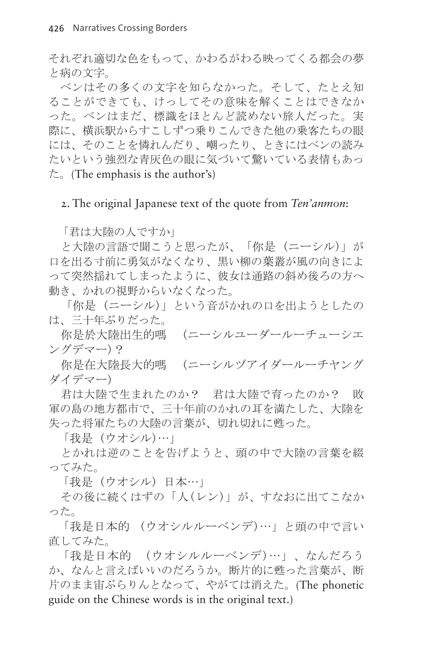それぞれ適切な色をもって、かわるがわる映ってくる都会の夢 と病の文字。

 ベンはその多くの文字を知らなかった。そして、たとえ知 ることができても、けっしてその意味を解くことはできなか った。ベンはまだ、標識をほとんど読めない旅人だった。実 際に、横浜駅からすこしずつ乗りこんできた他の乗客たちの眼 には、そのことを憐れんだり、嘲ったり、ときにはベンの読み たいという強烈な青灰色の眼に気づいて驚いている表情もあっ  $\approx$ . (The emphasis is the author's)

2. The original Japanese text of the quote from *Ten'anmon*:

「君は大陸の人ですか」

と大陸の言語で聞こうと思ったが、「你是 (ニーシル)」が 口を出る寸前に勇気がなくなり、黒い柳の葉叢が風の向きによ って突然揺れてしまったように、彼女は通路の斜め後ろの方へ 動き、かれの視野からいなくなった。

「你是 (ニーシル)」という音がかれの口を出ようとしたの は、三十年ぶりだった。

你是於大陸出生的嗎 (ニーシルユーダールーチューシエ ングデマー)?

你是在大陸長大的嗎 (ニーシルヅアイダールーチヤング ダイデマー)

君は大陸で生まれたのか? 君は大陸で育ったのか? 敗 軍の島の地方都市で、三十年前のかれの耳を満たした、大陸を 失った将軍たちの大陸の言葉が、切れ切れに甦った。

「我是 (ウオシル)…」

とかれは逆のことを告げようと、頭の中で大陸の言葉を綴 ってみた。

「我是 (ウオシル) 日本…」

その後に続くはずの「人(レン)」が、すなおに出てこなか った。

「我是日本的 (ウオシルルーベンデ)…」と頭の中で言い 直してみた。

「我是日本的 (ウオシルルーベンデ)…」、なんだろう か、なんと言えばいいのだろうか。断片的に甦った言葉が、断 片のまま宙ぶらりんとなって、やがては消えた。(The phonetic guide on the Chinese words is in the original text.)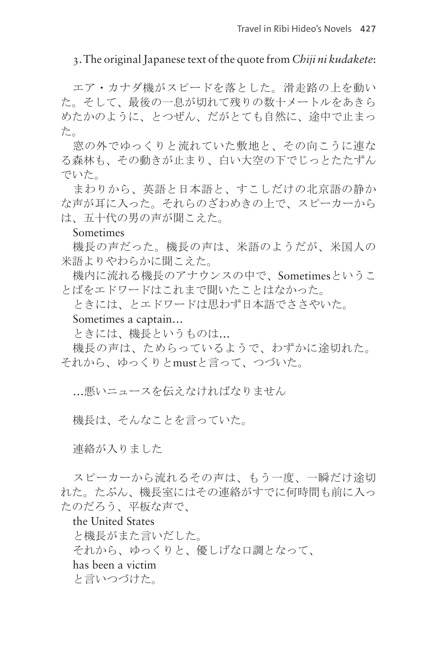#### 3. The original Japanese text of the quote from *Chiji ni kudakete*:

エア・カナダ機がスピードを落とした。滑走路の上を動い た。そして、最後の一息が切れて残りの数十メートルをあきら めたかのように、とつぜん、だがとても自然に、途中で止まっ た。

窓の外でゆっくりと流れていた敷地と、その向こうに連な る森林も、その動きが止まり、白い大空の下でじっとたたずん でいた。

まわりから、英語と日本語と、すこしだけの北京語の静か な声が耳に入った。それらのざわめきの上で、スピーカーから は、五十代の男の声が聞こえた。

#### Sometimes

機長の声だった。機長の声は、米語のようだが、米国人の 米語よりやわらかに聞こえた。

機内に流れる機長のアナウンスの中で、Sometimesというこ とばをエドワードはこれまで聞いたことはなかった。

ときには、とエドワードは思わず日本語でささやいた。

#### Sometimes a captain…

ときには、機長というものは…

機長の声は、ためらっているようで、わずかに途切れた。 それから、ゆっくりとmustと言って、つづいた。

…悪いニュースを伝えなければなりません

機長は、そんなことを言っていた。

連絡が入りました

スピーカーから流れるその声は、もう一度、一瞬だけ途切 れた。たぶん、機長室にはその連絡がすでに何時間も前に入っ たのだろう、平板な声で、

the United States と機長がまた言いだした。 それから、ゆっくりと、優しげな口調となって、 has been a victim と言いつづけた。